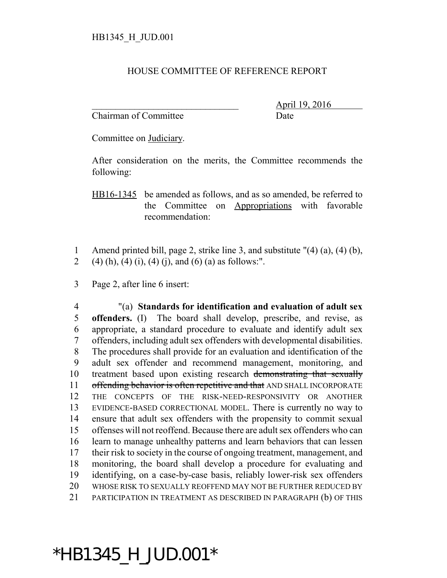#### HOUSE COMMITTEE OF REFERENCE REPORT

Chairman of Committee Date

\_\_\_\_\_\_\_\_\_\_\_\_\_\_\_\_\_\_\_\_\_\_\_\_\_\_\_\_\_\_\_ April 19, 2016

Committee on Judiciary.

After consideration on the merits, the Committee recommends the following:

HB16-1345 be amended as follows, and as so amended, be referred to the Committee on Appropriations with favorable recommendation:

- 1 Amend printed bill, page 2, strike line 3, and substitute "(4) (a), (4) (b), 2 (4) (h), (4) (i), (4) (j), and (6) (a) as follows:".
- 3 Page 2, after line 6 insert:

 "(a) **Standards for identification and evaluation of adult sex offenders.** (I) The board shall develop, prescribe, and revise, as appropriate, a standard procedure to evaluate and identify adult sex offenders, including adult sex offenders with developmental disabilities. The procedures shall provide for an evaluation and identification of the adult sex offender and recommend management, monitoring, and 10 treatment based upon existing research demonstrating that sexually 11 offending behavior is often repetitive and that AND SHALL INCORPORATE THE CONCEPTS OF THE RISK-NEED-RESPONSIVITY OR ANOTHER EVIDENCE-BASED CORRECTIONAL MODEL. There is currently no way to ensure that adult sex offenders with the propensity to commit sexual offenses will not reoffend. Because there are adult sex offenders who can learn to manage unhealthy patterns and learn behaviors that can lessen their risk to society in the course of ongoing treatment, management, and monitoring, the board shall develop a procedure for evaluating and identifying, on a case-by-case basis, reliably lower-risk sex offenders 20 WHOSE RISK TO SEXUALLY REOFFEND MAY NOT BE FURTHER REDUCED BY PARTICIPATION IN TREATMENT AS DESCRIBED IN PARAGRAPH (b) OF THIS

# \*HB1345\_H\_JUD.001\*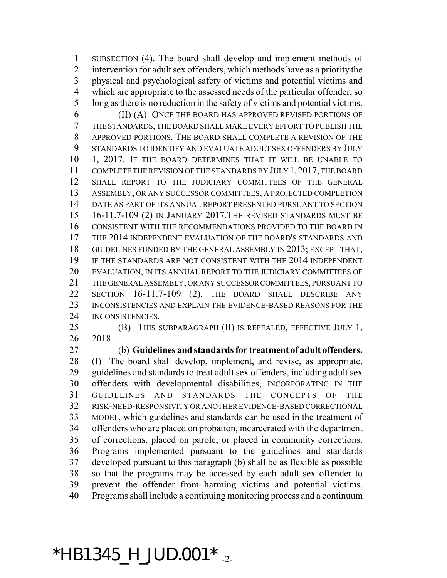SUBSECTION (4). The board shall develop and implement methods of intervention for adult sex offenders, which methods have as a priority the physical and psychological safety of victims and potential victims and which are appropriate to the assessed needs of the particular offender, so long as there is no reduction in the safety of victims and potential victims. (II) (A) ONCE THE BOARD HAS APPROVED REVISED PORTIONS OF THE STANDARDS, THE BOARD SHALL MAKE EVERY EFFORT TO PUBLISH THE APPROVED PORTIONS. THE BOARD SHALL COMPLETE A REVISION OF THE STANDARDS TO IDENTIFY AND EVALUATE ADULT SEX OFFENDERS BY JULY 1, 2017. IF THE BOARD DETERMINES THAT IT WILL BE UNABLE TO COMPLETE THE REVISION OF THE STANDARDS BY JULY 1,2017, THE BOARD SHALL REPORT TO THE JUDICIARY COMMITTEES OF THE GENERAL ASSEMBLY, OR ANY SUCCESSOR COMMITTEES, A PROJECTED COMPLETION DATE AS PART OF ITS ANNUAL REPORT PRESENTED PURSUANT TO SECTION 16-11.7-109 (2) IN JANUARY 2017.THE REVISED STANDARDS MUST BE CONSISTENT WITH THE RECOMMENDATIONS PROVIDED TO THE BOARD IN THE 2014 INDEPENDENT EVALUATION OF THE BOARD'S STANDARDS AND GUIDELINES FUNDED BY THE GENERAL ASSEMBLY IN 2013; EXCEPT THAT, IF THE STANDARDS ARE NOT CONSISTENT WITH THE 2014 INDEPENDENT EVALUATION, IN ITS ANNUAL REPORT TO THE JUDICIARY COMMITTEES OF THE GENERAL ASSEMBLY, OR ANY SUCCESSOR COMMITTEES, PURSUANT TO 22 SECTION 16-11.7-109 (2), THE BOARD SHALL DESCRIBE ANY INCONSISTENCIES AND EXPLAIN THE EVIDENCE-BASED REASONS FOR THE INCONSISTENCIES.

 (B) THIS SUBPARAGRAPH (II) IS REPEALED, EFFECTIVE JULY 1, 2018.

 (b) **Guidelines and standards for treatment of adult offenders.** (I) The board shall develop, implement, and revise, as appropriate, guidelines and standards to treat adult sex offenders, including adult sex offenders with developmental disabilities, INCORPORATING IN THE GUIDELINES AND STANDARDS THE CONCEPTS OF THE RISK-NEED-RESPONSIVITY OR ANOTHER EVIDENCE-BASED CORRECTIONAL MODEL, which guidelines and standards can be used in the treatment of offenders who are placed on probation, incarcerated with the department of corrections, placed on parole, or placed in community corrections. Programs implemented pursuant to the guidelines and standards developed pursuant to this paragraph (b) shall be as flexible as possible so that the programs may be accessed by each adult sex offender to prevent the offender from harming victims and potential victims. Programs shall include a continuing monitoring process and a continuum

### $*$ HB1345\_H\_JUD.001 $*$ <sub>-2-</sub>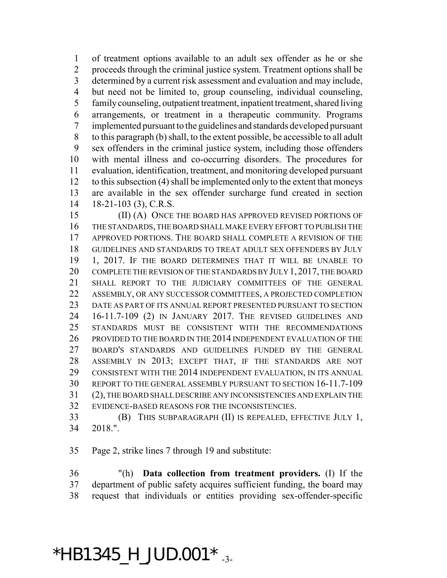of treatment options available to an adult sex offender as he or she proceeds through the criminal justice system. Treatment options shall be determined by a current risk assessment and evaluation and may include, but need not be limited to, group counseling, individual counseling, family counseling, outpatient treatment, inpatient treatment, shared living arrangements, or treatment in a therapeutic community. Programs implemented pursuant to the guidelines and standards developed pursuant to this paragraph (b) shall, to the extent possible, be accessible to all adult sex offenders in the criminal justice system, including those offenders with mental illness and co-occurring disorders. The procedures for evaluation, identification, treatment, and monitoring developed pursuant to this subsection (4) shall be implemented only to the extent that moneys are available in the sex offender surcharge fund created in section 18-21-103 (3), C.R.S.

 (II) (A) ONCE THE BOARD HAS APPROVED REVISED PORTIONS OF THE STANDARDS, THE BOARD SHALL MAKE EVERY EFFORT TO PUBLISH THE APPROVED PORTIONS. THE BOARD SHALL COMPLETE A REVISION OF THE GUIDELINES AND STANDARDS TO TREAT ADULT SEX OFFENDERS BY JULY 1, 2017. IF THE BOARD DETERMINES THAT IT WILL BE UNABLE TO 20 COMPLETE THE REVISION OF THE STANDARDS BY JULY 1, 2017, THE BOARD SHALL REPORT TO THE JUDICIARY COMMITTEES OF THE GENERAL ASSEMBLY, OR ANY SUCCESSOR COMMITTEES, A PROJECTED COMPLETION DATE AS PART OF ITS ANNUAL REPORT PRESENTED PURSUANT TO SECTION 16-11.7-109 (2) IN JANUARY 2017. THE REVISED GUIDELINES AND STANDARDS MUST BE CONSISTENT WITH THE RECOMMENDATIONS PROVIDED TO THE BOARD IN THE 2014 INDEPENDENT EVALUATION OF THE BOARD'S STANDARDS AND GUIDELINES FUNDED BY THE GENERAL ASSEMBLY IN 2013; EXCEPT THAT, IF THE STANDARDS ARE NOT CONSISTENT WITH THE 2014 INDEPENDENT EVALUATION, IN ITS ANNUAL REPORT TO THE GENERAL ASSEMBLY PURSUANT TO SECTION 16-11.7-109 (2), THE BOARD SHALL DESCRIBE ANY INCONSISTENCIES AND EXPLAIN THE EVIDENCE-BASED REASONS FOR THE INCONSISTENCIES.

 (B) THIS SUBPARAGRAPH (II) IS REPEALED, EFFECTIVE JULY 1, 2018.".

Page 2, strike lines 7 through 19 and substitute:

 "(h) **Data collection from treatment providers.** (I) If the department of public safety acquires sufficient funding, the board may request that individuals or entities providing sex-offender-specific

### $*$ HB1345\_H\_JUD.001 $*$ <sub>-3-</sub>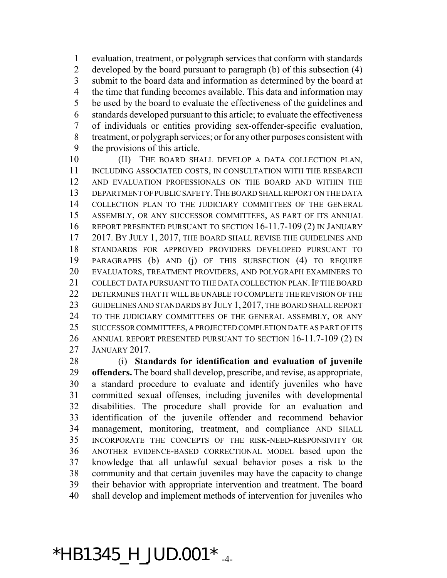evaluation, treatment, or polygraph services that conform with standards developed by the board pursuant to paragraph (b) of this subsection (4) submit to the board data and information as determined by the board at the time that funding becomes available. This data and information may be used by the board to evaluate the effectiveness of the guidelines and standards developed pursuant to this article; to evaluate the effectiveness of individuals or entities providing sex-offender-specific evaluation, treatment, or polygraph services; or for any other purposes consistent with the provisions of this article.

 (II) THE BOARD SHALL DEVELOP A DATA COLLECTION PLAN, INCLUDING ASSOCIATED COSTS, IN CONSULTATION WITH THE RESEARCH AND EVALUATION PROFESSIONALS ON THE BOARD AND WITHIN THE DEPARTMENT OF PUBLIC SAFETY.THE BOARD SHALL REPORT ON THE DATA COLLECTION PLAN TO THE JUDICIARY COMMITTEES OF THE GENERAL ASSEMBLY, OR ANY SUCCESSOR COMMITTEES, AS PART OF ITS ANNUAL REPORT PRESENTED PURSUANT TO SECTION 16-11.7-109 (2) IN JANUARY 2017. BY JULY 1, 2017, THE BOARD SHALL REVISE THE GUIDELINES AND STANDARDS FOR APPROVED PROVIDERS DEVELOPED PURSUANT TO PARAGRAPHS (b) AND (j) OF THIS SUBSECTION (4) TO REQUIRE EVALUATORS, TREATMENT PROVIDERS, AND POLYGRAPH EXAMINERS TO 21 COLLECT DATA PURSUANT TO THE DATA COLLECTION PLAN. IF THE BOARD 22 DETERMINES THAT IT WILL BE UNABLE TO COMPLETE THE REVISION OF THE GUIDELINES AND STANDARDS BY JULY 1, 2017, THE BOARD SHALL REPORT TO THE JUDICIARY COMMITTEES OF THE GENERAL ASSEMBLY, OR ANY SUCCESSOR COMMITTEES, A PROJECTED COMPLETION DATE AS PART OF ITS ANNUAL REPORT PRESENTED PURSUANT TO SECTION 16-11.7-109 (2) IN JANUARY 2017.

 (i) **Standards for identification and evaluation of juvenile offenders.** The board shall develop, prescribe, and revise, as appropriate, a standard procedure to evaluate and identify juveniles who have committed sexual offenses, including juveniles with developmental disabilities. The procedure shall provide for an evaluation and identification of the juvenile offender and recommend behavior management, monitoring, treatment, and compliance AND SHALL INCORPORATE THE CONCEPTS OF THE RISK-NEED-RESPONSIVITY OR ANOTHER EVIDENCE-BASED CORRECTIONAL MODEL based upon the knowledge that all unlawful sexual behavior poses a risk to the community and that certain juveniles may have the capacity to change their behavior with appropriate intervention and treatment. The board shall develop and implement methods of intervention for juveniles who

#### $*$ HB1345\_H\_JUD.001 $*$ <sub>-4-</sub>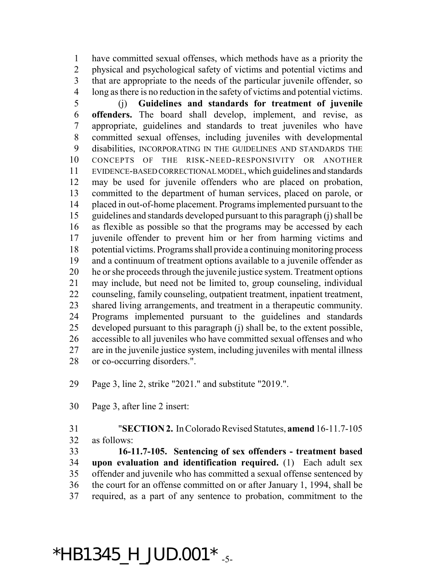have committed sexual offenses, which methods have as a priority the physical and psychological safety of victims and potential victims and that are appropriate to the needs of the particular juvenile offender, so long as there is no reduction in the safety of victims and potential victims.

 (j) **Guidelines and standards for treatment of juvenile offenders.** The board shall develop, implement, and revise, as appropriate, guidelines and standards to treat juveniles who have committed sexual offenses, including juveniles with developmental disabilities, INCORPORATING IN THE GUIDELINES AND STANDARDS THE CONCEPTS OF THE RISK-NEED-RESPONSIVITY OR ANOTHER EVIDENCE-BASED CORRECTIONAL MODEL, which guidelines and standards may be used for juvenile offenders who are placed on probation, committed to the department of human services, placed on parole, or placed in out-of-home placement. Programs implemented pursuant to the guidelines and standards developed pursuant to this paragraph (j) shall be as flexible as possible so that the programs may be accessed by each juvenile offender to prevent him or her from harming victims and potential victims. Programs shall provide a continuing monitoring process and a continuum of treatment options available to a juvenile offender as he or she proceeds through the juvenile justice system. Treatment options may include, but need not be limited to, group counseling, individual counseling, family counseling, outpatient treatment, inpatient treatment, shared living arrangements, and treatment in a therapeutic community. Programs implemented pursuant to the guidelines and standards developed pursuant to this paragraph (j) shall be, to the extent possible, accessible to all juveniles who have committed sexual offenses and who are in the juvenile justice system, including juveniles with mental illness or co-occurring disorders.".

Page 3, line 2, strike "2021." and substitute "2019.".

Page 3, after line 2 insert:

"**SECTION 2.** In Colorado Revised Statutes, **amend** 16-11.7-105

as follows:

 **16-11.7-105. Sentencing of sex offenders - treatment based upon evaluation and identification required.** (1) Each adult sex offender and juvenile who has committed a sexual offense sentenced by the court for an offense committed on or after January 1, 1994, shall be required, as a part of any sentence to probation, commitment to the

### $*$ HB1345\_H\_JUD.001 $*$  -5-